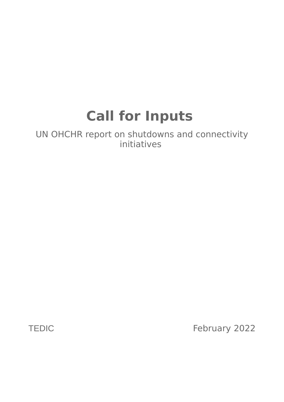# **Call for Inputs**

UN OHCHR report on shutdowns and connectivity initiatives

TEDIC February 2022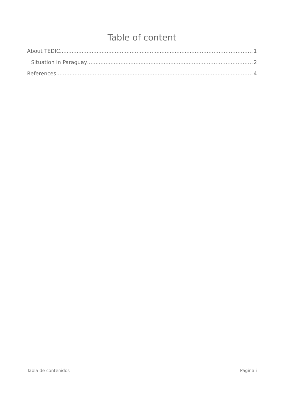# Table of content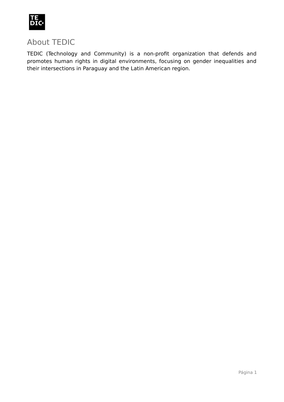

## <span id="page-2-0"></span>About TEDIC

TEDIC (Technology and Community) is a non-profit organization that defends and promotes human rights in digital environments, focusing on gender inequalities and their intersections in Paraguay and the Latin American region.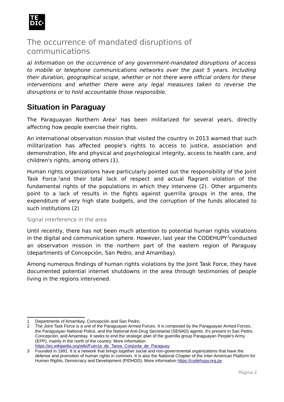

### The occurrence of mandated disruptions of communications

a) Information on the occurrence of any government-mandated disruptions of access to mobile or telephone communications networks over the past 5 years. Including their duration, geographical scope, whether or not there were official orders for these interventions and whether there were any legal measures taken to reverse the disruptions or to hold accountable those responsible.

#### <span id="page-3-0"></span>**Situation in Paraguay**

The Paraguayan Northern Area<sup>[1](#page-3-1)</sup> has been militarized for several years, directly affecting how people exercise their rights.

An international observation mission that visited the country in 2013 warned that such militarization has affected people's rights to access to justice, association and demonstration, life and physical and psychological integrity, access to health care, and children's rights, among others (1).

Human rights organizations have particularly pointed out the responsibility of the Joint Task Force.<sup>[2](#page-3-2)</sup>and their total lack of respect and actual flagrant violation of the fundamental rights of the populations in which they intervene (2). Other arguments point to a lack of results in the fights against guerrilla groups in the area, the expenditure of very high state budgets, and the corruption of the funds allocated to such institutions (2)

Signal interference in the area

Until recently, there has not been much attention to potential human rights violations in the digital and communication sphere. However, last year the CODEHUPY<sup>[3](#page-3-3)</sup>conducted an observation mission in the northern part of the eastern region of Paraguay (departments of Concepción, San Pedro, and Amambay).

Among numerous findings of human rights violations by the Joint Task Force, they have documented potential internet shutdowns in the area through testimonies of people living in the regions intervened.

<span id="page-3-1"></span><sup>1</sup> Departments of Amambay, Concepción and San Pedro.

<span id="page-3-2"></span><sup>2</sup> The Joint Task Force is a unit of the Paraguayan Armed Forces. It is composed by the Paraguayan Armed Forces, the Paraguayan National Police, and the National Anti-Drug Secretariat (SENAD) agents. It's present in San Pedro, Concepción, and Amambay. It seeks to end the strategic plan of the guerrilla group Paraguayan People's Army (EPP), mainly in the north of the country. More information

[https://es.wikipedia.org/wiki/Fuerza\\_de\\_Tarea\\_Conjunta\\_de\\_Paraguay](https://es.wikipedia.org/wiki/Fuerza_de_Tarea_Conjunta_de_Paraguay)

<span id="page-3-3"></span><sup>3</sup> Founded in 1991. It is a network that brings together social and non-governmental organizations that have the defense and promotion of human rights in common. It is also the National Chapter of the Inter-American Platform for Human Rights, Democracy and Development (PIDHDD). More information [https://codehupy.org.py](https://codehupy.org.py/)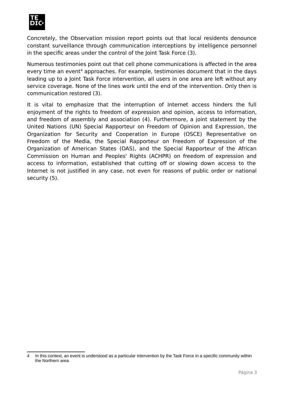

Concretely, the Observation mission report points out that local residents denounce constant surveillance through communication interceptions by intelligence personnel in the specific areas under the control of the Joint Task Force (3).

Numerous testimonies point out that cell phone communications is affected in the area every time an event<sup>[4](#page-4-0)</sup> approaches. For example, testimonies document that in the days leading up to a Joint Task Force intervention, all users in one area are left without any service coverage. None of the lines work until the end of the intervention. Only then is communication restored (3).

It is vital to emphasize that the interruption of Internet access hinders the full enjoyment of the rights to freedom of expression and opinion, access to information, and freedom of assembly and association (4). Furthermore, a joint statement by the United Nations (UN) Special Rapporteur on Freedom of Opinion and Expression, the Organization for Security and Cooperation in Europe (OSCE) Representative on Freedom of the Media, the Special Rapporteur on Freedom of Expression of the Organization of American States (OAS), and the Special Rapporteur of the African Commission on Human and Peoples' Rights (ACHPR) on freedom of expression and access to information, established that cutting off or slowing down access to the Internet is not justified in any case, not even for reasons of public order or national security (5).

<span id="page-4-0"></span><sup>4</sup> In this context, an event is understood as a particular intervention by the Task Force in a specific community within the Northern area